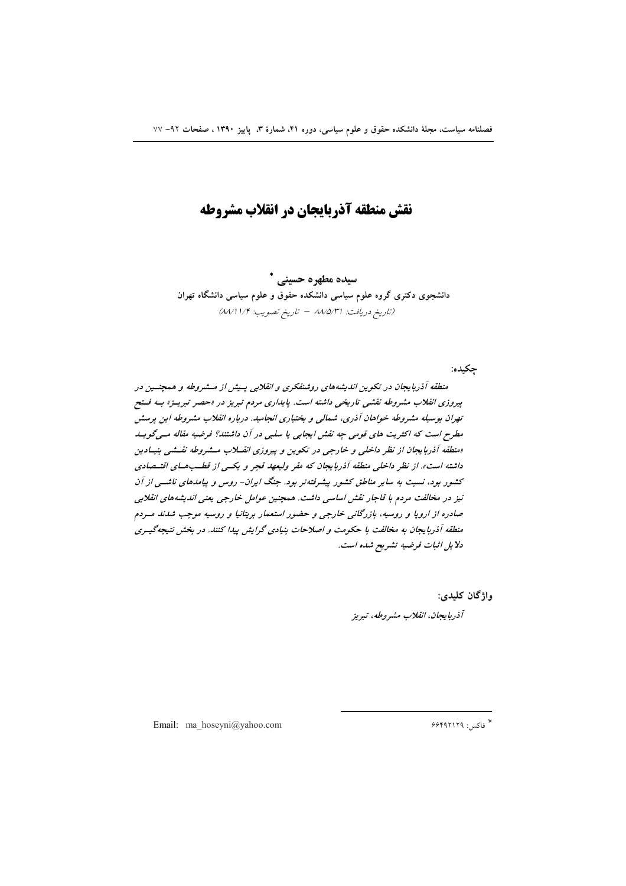# نقش منطقه آذربایجان در انقلاب مشروطه

سيده مطهره حسيني \*

دانشجوی دکتری گروه علوم سیاسی دانشکده حقوق و علوم سیاسی دانشگاه تهران (تاريخ دريافت: ٨٨/٥/٣١ - تاريخ تصويب: ٨٨/١١/٣)

جكيده:

منطقه آذربایجان در تکوین اندیشههای روشنفکری و انقلابی پسش از مسشروطه و همچنسین در پیروزی انقلاب مشروطه نقشی تاریخی داشته است. پایداری مردم تبریز در «حصر تبریـز» بـه فـتح تهران بوسیله مشروطه خواهان آذری، شمالی و بختیاری انجامید. درباره انقلاب مشروطه این پرسش مطرح است که اکثریت های قومی چه نقش ایجابی یا سلبی در آن داشتند؟ فرضیه مقاله مسی گویسد «منطقه آذربایجان از نظر داخلی و خارجی در تکوین و پیروزی انقسلاب مشروطه نقشی بنیادین داشته است». از نظر داخلی منطقه آذربایجان که مقر ولیعهد قجر و یکسی از قطبهای اقتیصادی کشور بود، نسبت به سایر مناطق کشور پیشرفتهتر بود. جنگ ایران- روس و پیامدهای ناشــی از آن نیز در مخالفت مردم با قاجار نقش اساسی داشت. همچنین عوامل خارجی یعنی اندیشههای انقلابی صادره از اروپا و روسیه، بازرگانی خارجی و حضور استعمار بریتانیا و روسیه موجب شدند مـردم منطقه آذربایجان به مخالفت با حکومت و اصلاحات بنیادی گرایش پیدا کنند. در بخش نتیجهگیـری دلا يل اثبات فرضيه تشريح شده است.

واژگان کليدي:

آذربايجان، انقلاب مشروطه، تبريز

Email: ma hoseyni@yahoo.com

\* فاكس: ۶۶۴۹۲۱۲۹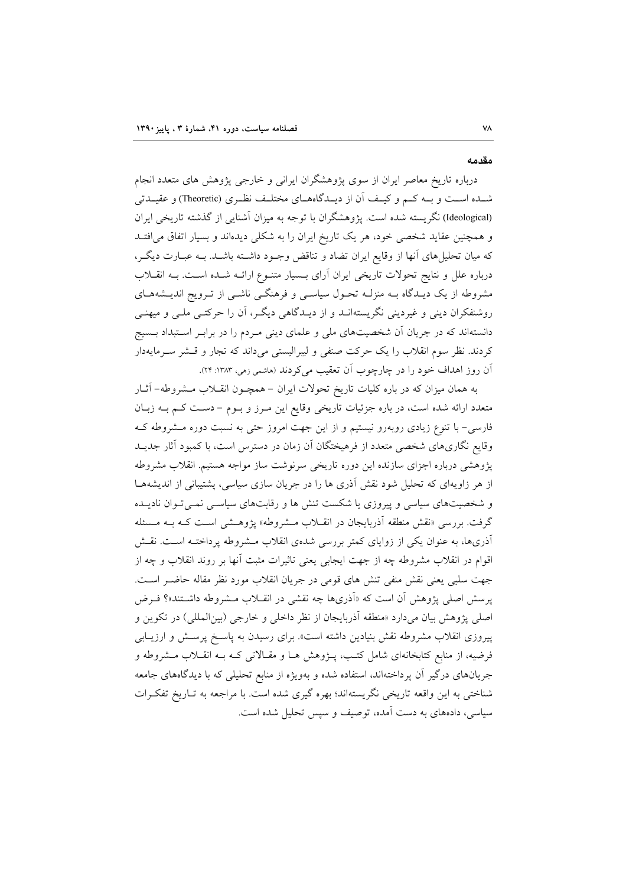#### مقدمه

درباره تاریخ معاصر ایران از سوی پژوهشگران ایرانی و خارجی پژوهش های متعدد انجام شــده اســت و بــه كــم و كيــف أن از ديــدگاههــاى مختلــف نظــرى (Theoretic) و عقيــدتى (Ideological) نگریسته شده است. پژوهشگران با توجه به میزان آشنایی از گذشته تاریخی ایران و همچنین عقاید شخصی خود، هر یک تاریخ ایران را به شکلی دیدهاند و بسیار اتفاق می افتـد که میان تحلیلهای آنها از وقایع ایران تضاد و تناقض وجـود داشـته باشـد. بـه عبـارت دیگـر، درباره علل و نتایج تحولات تاریخی ایران آرای بـسیار متنـوع ارائــه شــده اسـت. بــه انقــلاب مشروطه از یک دیـدگاه بــه منزلــه تحـول سیاســی و فرهنگــی ناشــی از تــرویج اندیــشههــای روشنفکران دینی و غیردینی نگریستهانـد و از دیـدگاهی دیگـر، آن را حرکتـی ملـی و میهنـی دانستهاند که در جریان آن شخصیتهای ملی و علمای دینی مـردم را در برابـر اسـتبداد بـسیج کردند. نظر سوم انقلاب را یک حرکت صنفی و لیبرالیستی میداند که تجار و قسشر سـرمایهدار آن روز اهداف خود را در چارچوب اَن تعقیب میکردند (هاشمی زمی، ۱۳۸۳: ۲۴).

به همان میزان که در باره کلیات تاریخ تحولات ایران – همچـون انقــلاب مــشروطه- آثــار متعدد ارائه شده است، در باره جزئیات تاریخی وقایع این مـرز و بـوم – دسـت کـم بــه زبـان فارسی– با تنوع زیادی روبهرو نیستیم و از این جهت امروز حتی به نسبت دوره مــشروطه کــه وقایع نگاریهای شخصی متعدد از فرهیختگان آن زمان در دسترس است، با کمبود آثار جدیــد يژوهشي درباره اجزاي سازنده اين دوره تاريخي سرنوشت ساز مواجه هستيم. انقلاب مشروطه از هر زاویهای که تحلیل شود نقش آذری ها را در جریان سازی سیاسی، پشتیبانی از اندیشههـا و شخصیتهای سیاسی و پیروزی یا شکست تنش ها و رقابتهای سیاسـی نمـی تـوان نادیــده گرفت. بررسی «نقش منطقه آذربایجان در انقـلاب مـشروطه» پژوهـشی اسـت کـه بـه مـسئله آذریها، به عنوان یکی از زوایای کمتر بررسی شدهی انقلاب مـشروطه پرداختـه اسـت. نقـش اقوام در انقلاب مشروطه چه از جهت ایجابی یعنی تاثیرات مثبت آنها بر روند انقلاب و چه از جهت سلبي يعني نقش منفي تنش هاي قومي در جريان انقلاب مورد نظر مقاله حاضـر اسـت. یرسش اصلی پژوهش آن است که «آذریها چه نقشی در انقــلاب مــشروطه داشــتند»؟ فــرض اصلی پژوهش بیان میدارد «منطقه آذربایجان از نظر داخلی و خارجی (بین|لمللی) در تکوین و پیروزی انقلاب مشروطه نقش بنیادین داشته است». برای رسیدن به پاسخ پرسش و ارزیبابی فرضیه، از منابع کتابخانهای شامل کتـب، پــژوهش هــا و مقــالاتی کــه بــه انقــلاب مــشروطه و جریانهای درگیر آن پرداختهاند، استفاده شده و بهویژه از منابع تحلیلی که با دیدگاههای جامعه شناختی به این واقعه تاریخی نگریستهاند؛ بهره گیری شده است. با مراجعه به تـاریخ تفکـرات سیاسی، دادههای به دست آمده، توصیف و سپس تحلیل شده است.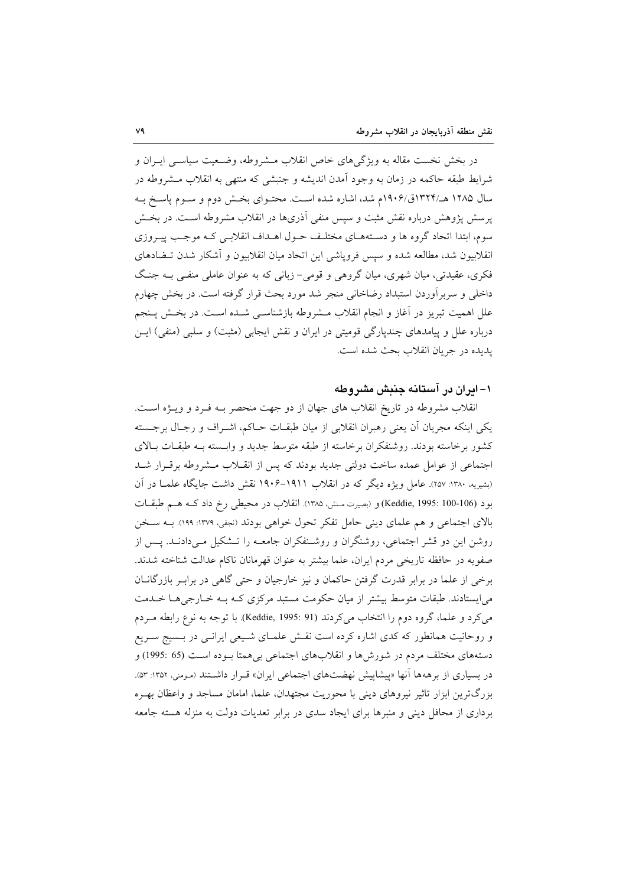در بخش نخست مقاله به ویژگیهای خاص انقلاب مــشروطه، وضــعیت سیاســی ایــران و شرايط طبقه حاكمه در زمان به وجود آمدن انديشه و جنبشي كه منتهى به انقلاب مــشروطه در سال ۱۲۸۵ هـ/۱۳۲۴ق/۱۹۰۶م شد، اشاره شده است. محتـوای بخـش دوم و سـوم پاسـخ بـه یرسش پژوهش درباره نقش مثبت و سپس منفی اَذریها در انقلاب مشروطه اسـت. در بخــش سوم، ابتدا اتحاد گروه ها و دستههـاى مختلـف حـول اهـداف انقلابـي كـه موجـب پيـروزي انقلابیون شد، مطالعه شده و سپس فروپاشی این اتحاد میان انقلابیون و آشکار شدن تــضادهای فکری، عقیدتی، میان شهری، میان گروهی و قومی- زبانی که به عنوان عاملی منفـی بـه جنـگ داخلی و سربر آوردن استبداد رضاخانی منجر شد مورد بحث قرار گرفته است. در بخش چهارم علل اهمیت تبریز در آغاز و انجام انقلاب مــشروطه بازشناســی شــده اســت. در بخــش پــنجم درباره علل و پیامدهای چندپارگی قومیتی در ایران و نقش ایجابی (مثبت) و سلبی (منفی) ایــن يديده در جريان انقلاب بحث شده است.

### ۱– ایران در آستانه جنبش مشروطه

انقلاب مشروطه در تاريخ انقلاب هاي جهان از دو جهت منحصر بـه فـرد و ويــژه اسـت. یکی اینکه مجریان أن یعنی رهبران انقلابی از میان طبقـات حــاکم، اشــراف و رجــال برجــسته کشور برخاسته بودند. روشنفکران برخاسته از طبقه متوسط جدید و وابسته بـه طبقـات بـالای اجتماعی از عوامل عمده ساخت دولتی جدید بودند که پس از انقـلاب مـشروطه برقـرار شـد (بشیریه، ۱۳۸۰: ۲۵۷). عامل ویژه دیگر که در انقلاب ۱۹۱۱–۱۹۰۶ نقش داشت جایگاه علمـا در آن بود (Keddie, 1995: 100-106) و (بصيرت مـنش، ١٣٨٥). انقلاب در محيطي رخ داد كـه هــم طبقــات بالای اجتماعی و هم علمای دینی حامل تفکر تحول خواهی بودند (نجفی، ١٣٧٩: ١٩٩). بــه ســخن روشن این دو قشر اجتماعی، روشنگران و روشـنفکران جامعـه را تـشکیل مـیدادنـد. پـس از صفویه در حافظه تاریخی مردم ایران، علما بیشتر به عنوان قهرمانان ناکام عدالت شناخته شدند. برخی از علما در برابر قدرت گرفتن حاکمان و نیز خارجیان و حتی گاهی در برابـر بازرگانــان می ایستادند. طبقات متوسط بیشتر از میان حکومت مستبد مرکزی کـه بـه خـارجی هـا خـدمت می کرد و علما، گروه دوم را انتخاب می کردند (Keddie, 1995: 91). با توجه به نوع رابطه مـردم و روحانیت همانطور که کدی اشاره کرده است نقــش علمــای شــیعی ایرانــی در بــسیج ســریع دستههای مختلف مردم در شورشها و انقلابهای اجتماعی بی همتا بـوده اسـت (65 :1995) و در بسیاری از برههها آنها «پیشاپیش نهضتهای اجتماعی ایران» قـرار داشــتند (مـومنی، ۱۳۵۲: ۵۳). بزرگ ترین ابزار تاثیر نیروهای دینی با محوریت مجتهدان، علما، امامان مساجد و واعظان بهـره بر داری از محافل دینی و منبرها برای ایجاد سدی در برابر تعدیات دولت به منزله هسته جامعه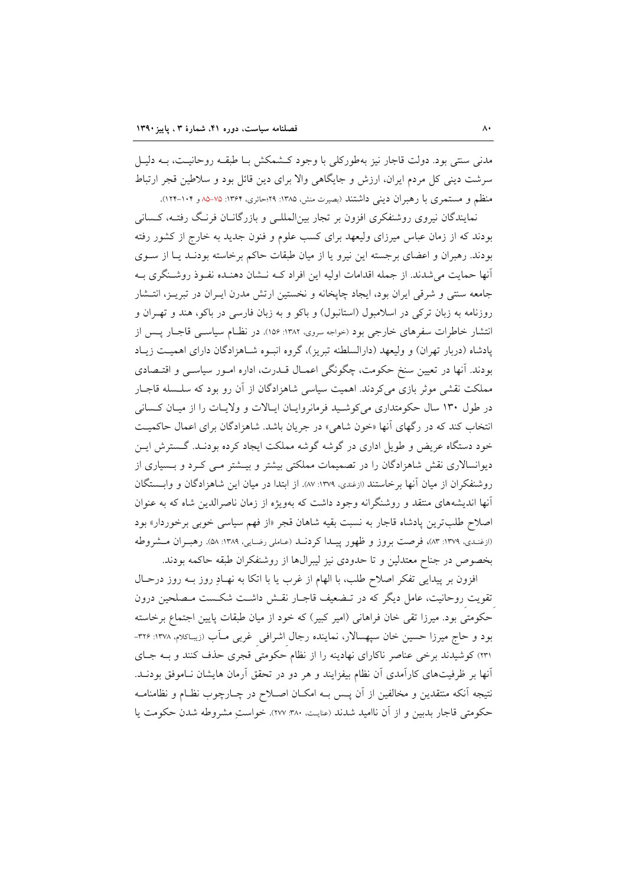مدنی سنتی بود. دولت قاجار نیز بهطورکلی با وجود کـشمکش بـا طبقـه روحانیـت، بـه دلیـل سرشت دینی کل مردم ایران، ارزش و جایگاهی والا برای دین قائل بود و سلاطین قجر ارتباط منظم و مستمری با رهبران دینی داشتند (بصیرت منش، ۱۳۸۵: ۲۹؛حائری، ۱۳۶۴: ۷۵-۸۵ و ۱۰۴-۱۲۲).

نمایندگان نیروی روشنفکری افزون بر تجار بین|لمللـی و بازرگانــان فرنـگ رفتــه، کــسانی بودند که از زمان عباس میرزای ولیعهد برای کسب علوم و فنون جدید به خارج از کشور رفته بودند. رهبران و اعضای برجسته این نیرو یا از میان طبقات حاکم برخاسته بودنـد یـا از سـوی آنها حمایت می شدند. از جمله اقدامات اولیه این افراد کـه نـشان دهنـده نفـوذ روشـنگری بـه جامعه سنتی و شرقی ایران بود، ایجاد چاپخانه و نخستین ارتش مدرن ایـران در تبریـز، انتـشار روزنامه به زبان ترکی در اسلامبول (استانبول) و باکو و به زبان فارسی در باکو، هند و تهـران و انتشار خاطرات سفرهای خارجی بود (خواجه سروی، ۱۳۸۲: ۱۵۶). در نظـام سیاســی قاجـار پـس از یادشاه (دربار تهران) و ولیعهد (دارالسلطنه تبریز)، گروه انبوه شـاهزادگان دارای اهمیـت زیـاد بودند. آنها در تعیین سنخ حکومت، چگونگی اعمـال قــدرت، اداره امــور سیاســی و اقتــصادی مملکت نقشی موثر بازی میکردند. اهمیت سیاسی شاهزادگان از آن رو بود که سلسله قاجبار در طول ۱۳۰ سال حکومتداری میکوشید فرمانروایان ایالات و ولایات را از میان کسانی انتخاب کند که در رگهای آنها «خون شاهی» در جریان باشد. شاهزادگان برای اعمال حاکمیت خود دستگاه عریض و طویل اداری در گوشه گوشه مملکت ایجاد کرده بودنـد. گـسترش ایـن دیوانسالاری نقش شاهزادگان را در تصمیمات مملکتی بیشتر و بیـشتر مـی کـرد و بـسیاری از روشنفکران از میان آنها برخاستند (ازغندی، ۱۳۷۹: ۸۷). از ابتدا در میان این شاهزادگان و وابــستگان آنها اندیشههای منتقد و روشنگرانه وجود داشت که بهویژه از زمان ناصرالدین شاه که به عنوان اصلاح طلب ترين پادشاه قاجار به نسبت بقيه شاهان قجر «از فهم سياسي خوبي برخوردار» بود (ازغندي، ١٣٧٩: ٨٣)، فرصت بروز و ظهور پيـدا كردنـد (عـاملي رضـايي، ١٣٨٩: ۵٨). رهبـران مـشروطه بخصوص در جناح معتدلین و تا حدودی نیز لیبرالها از روشنفکران طبقه حاکمه بودند.

افزون بر پیدایی تفکر اصلاح طلب، با الهام از غرب یا با اتکا به نهـادِ روز بــه روز درحـال تقویت روحانیت، عامل دیگر که در تـضعیف قاجـار نقـش داشـت شکـست مـصلحین درون حکومتی بود. میرزا تقی خان فراهانی (امیر کبیر) که خود از میان طبقات پایین اجتماع برخاسته بود و حاج میرزا حسین خان سپهسالار، نماینده رجال اشرافی غربی مــاّب (زیبـاکلام، ۱۳۷۸: ۳۲۶-۲۳۱) کوشیدند برخی عناصر ناکارای نهادینه را از نظام حکومتی قجری حذف کنند و بـه جـای آنها بر ظرفیتهای کارآمدی آن نظام بیفزایند و هر دو در تحقق آرمان هایشان نـاموفق بودنــد. نتيجه آنكه منتقدين و مخالفين از آن پــس بــه امكــان اصــلاح در چــارچوب نظــام و نظامنامــه حكومتي قاجار بدبين و از آن نااميد شدند (عنايت، ٣٨٠٪ ٢٧٧). خواستِ مشروطه شدن حكومت يا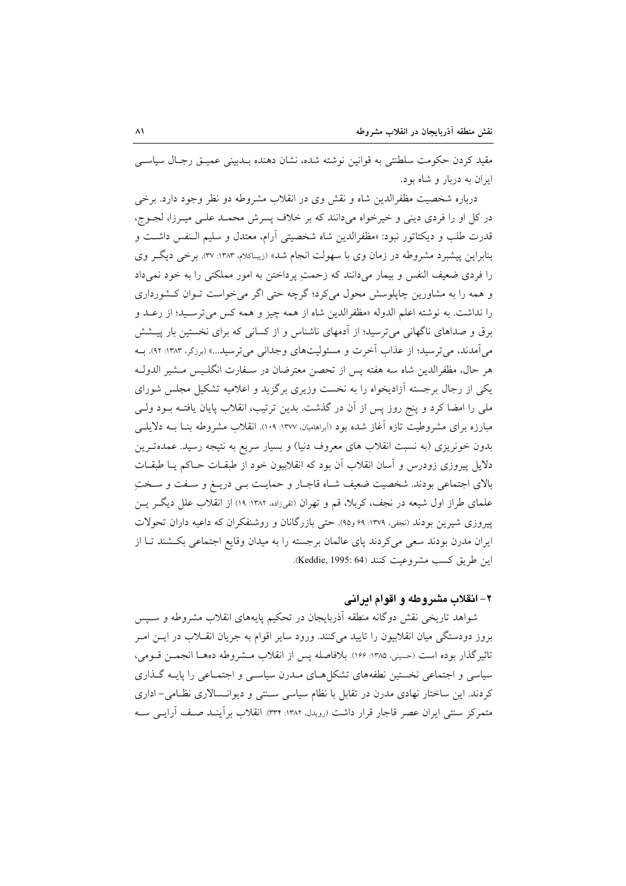مقيد كردن حكومت سلطنتي به قوانين نوشته شده، نشان دهنده بـدبيني عميــق رجـال سياســي ایران به دربار و شاه بود.

درباره شخصیت مظفرالدین شاه و نقش وی در انقلاب مشروطه دو نظر وجود دارد. برخی در کل او را فردی دینی و خیرخواه میدانند که بر خلاف پسرش محمـد علـی میـرزا، لجـوج، قدرت طلب و دیکتاتور نبود: «مظفرالدین شاه شخصیتی آرام، معتدل و سلیم الـنفس داشـت و بنابراین پیشبرد مشروطه در زمان وی با سهولت انجام شد» (زیباکلام، ۱۳۸۳: ۳۷). برخی دیگر وی را فردی ضعیف النفس و بیمار میدانند که زحمتِ پرداختن به امور مملکتی را به خود نمیداد و همه را به مشاورین چاپلوسش محول می کرد؛ گرچه حتی اگر می خواست تـوان کـشورداری را نداشت. به نوشته اعلم الدوله «مظفرالدين شاه از همه چيز و همه كس مي ترسـيد؛ از رعـد و برق و صداهای ناگهانی میترسید؛ از آدمهای ناشناس و از کسانی که برای نخستین بار پیـشش می آمدند، می ترسید؛ از عذاب آخرت و مسئولیتهای وجدانی می ترسید...» (برزگر، ۱۳۸۳: ۹۲). به هر حال، مظفرالدین شاه سه هفته پس از تحصن معترضان در سـفارت انگلـیس مـشیر الدولـه یکی از رجال برجسته آزادیخواه را به نخست وزیری برگزید و اعلامیه تشکیل مجلس شورای ملی را امضا کرد و پنج روز پس از آن در گذشت. بدین ترتیب، انقلاب پایان یافتـه بــود ولــی مبارزه برای مشروطیت تازه آغاز شده بود (ابراهامیان، ۱۳۷۷: ۱۰۹). انقلاب مشروطه بنـا بــه دلایلــی بدون خونریزی (به نسبت انقلاب های معروف دنیا) و بسیار سریع به نتیجه رسید. عمدهتـرین دلایل پیروزی زودرس و اَسان انقلاب اَن بود که انقلابیون خود از طبقـات حـاکم یـا طبقـات بالای اجتماعی بودند. شخصیت ضعیف شـاه قاجـار و حمایـت بـی دریـغ و سـفت و سـختِ علمای طراز اول شیعه در نجف، کربلا، قم و تهران (تفیزاده، ۱۳۸۲: ۱۹) از انقلاب علل دیگر پس پیروزی شیرین بودند (نجفی، ۱۳۷۹: ۶۹ و۹۵). حتی بازرگانان و روشنفکران که داعیه داران تحولات ایران مدرن بودند سعی میکردند پای عالمان برجسته را به میدان وقایع اجتماعی بکـشند تـا از اين طريق كسب مشروعيت كنند (Keddie, 1995: 64).

### ۲- انقلاب مشروطه و اقوام ابرانی

شواهد تاریخی نقش دوگانه منطقه آذربایجان در تحکیم پایههای انقلاب مشروطه و سـپس بروز دودستگی میان انقلابیون را تایید میکنند. ورود سایر اقوام به جریان انقــلاب در ایــن امــر تاثيرِ گذار بوده است (حسيني، ١٣٨٥: ١۶۶). بلافاصله يس از انقلاب مـشروطه دههـا انجمـن قـومي، سیاسی و اجتماعی نخستین نطفههای تشکا هـای مـدرن سیاسـی و اجتمـاعی را پایـه گـذاری کردند. این ساختار نهادی مدرن در تقابل با نظام سیاسی سـنتی و دیوانـسالاری نظـامی– اداری متمرکز سنتی ایران عصر قاجار قرار داشت (رویدل، ۱۳۸۲: ۳۳۴). انقلاب برآینــد صـف آرایــی ســه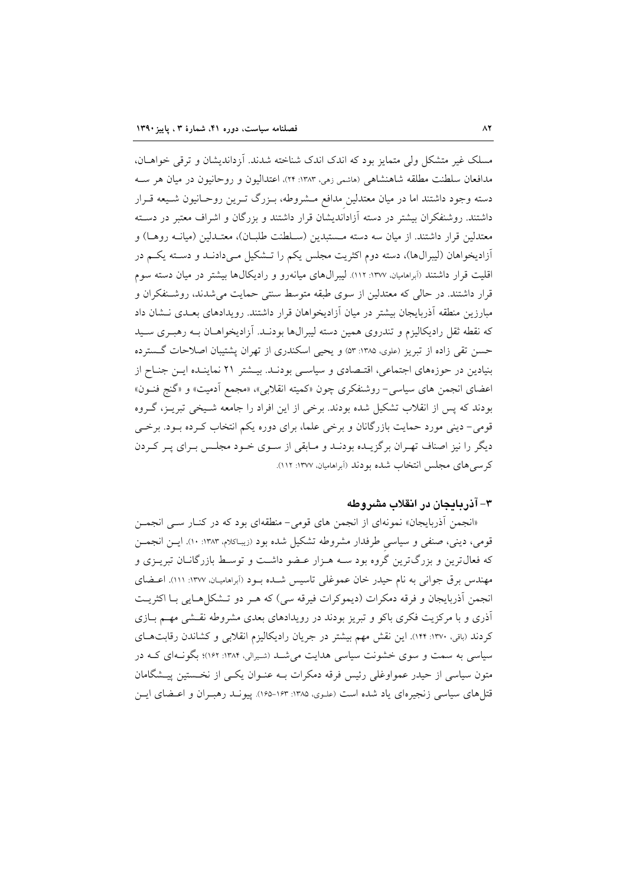مسلک غیر متشکل ولی متمایز بود که اندک اندک شناخته شدند. اَزداندیشان و ترقی خواهــان، مدافعان سلطنت مطلقه شاهنشاهی (هاشمی زهی، ۱۳۸۳: ۲۴)، اعتدالیون و روحانیون در میان هر سـه دسته وجود داشتند اما در میان معتدلین مدافع مـشروطه، بـزرگ تـرین روحـانیون شـیعه قـرار داشتند. روشنفکران بیشتر در دسته آزاداندیشان قرار داشتند و بزرگان و اشراف معتبر در دسته معتدلين قرار داشتند. از ميان سه دسته مــستبدين (ســلطنت طلبــان)، معتــدلين (ميانــه روهــا) و آزادیخواهان (لیبرال۵ا)، دسته دوم اکثریت مجلس یکم را تـشکیل مـیدادنـد و دسـته یکـم در اقلیت قرار داشتند (آبراهامیان، ۱۳۷۷: ۱۱۲). لیبرالهای میانهرو و رادیکالها بیشتر در میان دسته سوم قرار داشتند. در حالی که معتدلین از سوی طبقه متوسط سنتی حمایت می شدند، روشـنفکران و مبارزین منطقه آذربایجان بیشتر در میان آزادیخواهان قرار داشتند. رویدادهای بعـدی نــشان داد که نقطه ثقل رادیکالیزم و تندروی همین دسته لیبرالها بودنـد. آزادیخواهــان بــه رهبــری ســید حسن تقی زاده از تبریز (علوی، ۱۳۸۵: ۵۳) و یحیی اسکندری از تهران پشتیبان اصلاحات گسترده بنیادین در حوزههای اجتماعی، اقتـصادی و سیاسـی بودنـد. بیـشتر ۲۱ نماینـده ایـن جنـاح از اعضای انجمن های سیاسی- روشنفکری چون «کمیته انقلابی»، «مجمع اَدمیت» و «گنج فنــون» بودند که پس از انقلاب تشکیل شده بودند. برخی از این افراد را جامعه شـیخی تبریـز، گـروه قومی- دینی مورد حمایت بازرگانان و برخی علما، برای دوره یکم انتخاب کـرده بـود. برخـی دیگر را نیز اصناف تهـران برگزیــده بودنــد و مــابقی از ســوی خــود مجلــس بــرای پــر کــردن كرسي هاي مجلس انتخاب شده بودند (أبراهاميان، ١٣٧٧: ١١٢).

# ۳- آذر بایجان در انقلاب مشروطه

«انجمن أذربایجان» نمونهای از انجمن های قومی-منطقهای بود که در کنـار سـّی انجمــن قومی، دینی، صنفی و سیاسی طرفدار مشروطه تشکیل شده بود (زیباکلام، ۱۳۸۳: ۱۰). ایــن انجمــن که فعالترین و بزرگترین گروه بود سـه هـزار عـضو داشـت و توسـط بازرگانـان تبریـزی و مهندس برق جوانی به نام حیدر خان عموغلی تاسیس شـده بـود (أبراهامیـان، ١٣٧٧: ١١١). اعـضای انجمن آذربايجان و فرقه دمكرات (ديموكرات فيرقه سي) كه هـر دو تـشكل هـايي بـا اكثريـت آذری و با مرکزیت فکری باکو و تبریز بودند در رویدادهای بعدی مشروطه نقشی مهم بـازی کردند (باقی، ۱۳۷۰: ۱۴۴). این نقش مهم بیشتر در جریان رادیکالیزم انقلابی و کشاندن رقابتهای سیاسی به سمت و سوی خشونت سیاسی هدایت می شـد (شـیرالی، ۱۳۸۴: ۱۶۲)؛ بگونـهای کـه در متون سیاسی از حیدر عمواوغلی رئیس فرقه دمکرات بــه عنــوان یکــی از نخــستین پیــشگامان قتلهای سیاسی زنجیرِهای یاد شده است (علـوی، ۱۳۸۵: ۱۶۳–۱۶۵). پیونــد رهبــران و اعــضای ایــن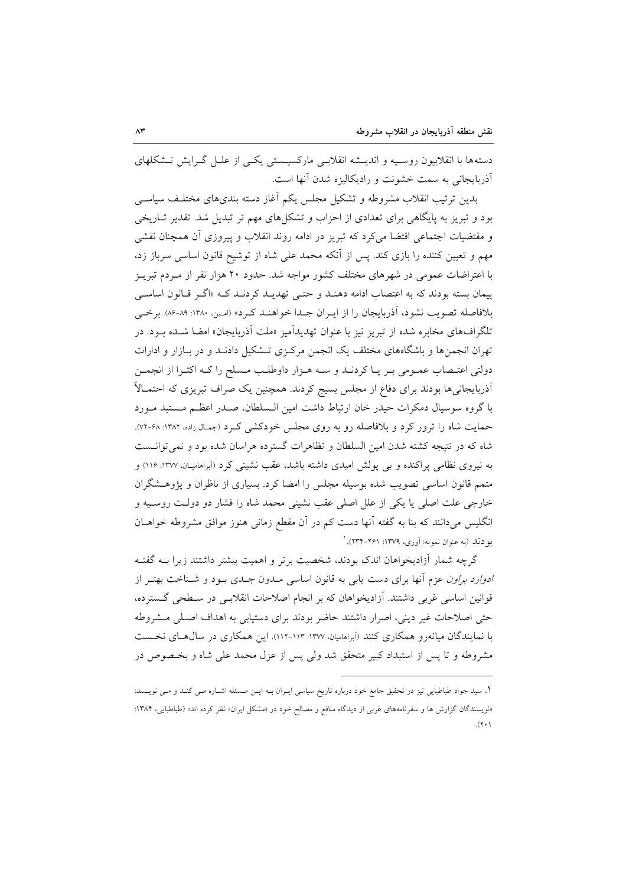دستهها با انقلابیون روسـیه و اندیــشه انقلابـی مارکسیــستی یکـی از علــل گــرایش تــشکلهای آذربایجانی به سمت خشونت و رادیکالیزه شدن آنها است.

بدین ترتیب انقلاب مشروطه و تشکیل مجلس یکم آغاز دسته بندیهای مختلـف سیاســی بود و تبریز به پایگاهی برای تعدادی از احزاب و تشکلهای مهم تر تبدیل شد. تقدیر تباریخی و مقتضیات اجتماعی اقتضا میکرد که تبریز در ادامه روند انقلاب و پیروزی آن همچنان نقشی مهم و تعیین کننده را بازی کند. پس از آنکه محمد علی شاه از توشیح قانون اساسی سرباز زد، با اعتراضات عمومی در شهرهای مختلف کشور مواجه شد. حدود ۲۰ هزار نفر از مـردم تبریـز پیمان بسته بودند که به اعتصاب ادامه دهنـد و حتـبي تهدیـد کردنـد کـه «اگـر قـانون اساسـبي بلافاصله تصويب نشود، آذربايجان را از ايـران جـدا خواهنـد كـرد» (امـين. ١٣٨٠: ٨٩-٨٤). برخـي تلگرافهای مخابره شده از تبریز نیز با عنوان تهدیدآمیز «ملت آذربایجان» امضا شــده بــود. در تهران انجمنها و باشگاههای مختلف یک انجمن مرکزی تـشکیل دادنـد و در بـازار و ادارات دولتي اعتـصاب عمـومي بـر پـا كردنـد و سـه هـزار داوطلـب مـسلح را كـه اكثـرا از انجمـن اَذربایجانیها بودند برای دفاع از مجلس بسیج کردند. همچنین یک صراف تبریزی که احتمـالاً با گروه سوسیال دمکرات حیدر خان ارتباط داشت امین الـسلطان، صـدر اعظـم مـستبد مـورد حمایت شاه را ترور کرد و بلافاصله رو به روی مجلس خودکشی ک د (جمال زاده، ۱۳۸۲: ۶۸-۷۲). شاه که در نتیجه کشته شدن امین السلطان و تظاهرات گسترده هراسان شده بود و نمی توانست به نیروی نظامی پراکنده و بی پولش امیدی داشته باشد، عقب نشینی کرد (آبراهامیان، ۱۳۷۷: ۱۱۶) و متمم قانون اساسی تصویب شده بوسیله مجلس را امضا کرد. بسیاری از ناظران و پژوهـشگران خارجي علت اصلي يا يكي از علل اصلي عقب نشيني محمد شاه را فشار دو دولت روسـيه و انگلیس میدانند که بنا به گفته آنها دست کم در آن مقطع زمانی هنوز موافق مشروطه خواهــان بو دند (به عنوان نمونه: أورى، ١٣٧٩: ٢۶١-٢٣٣). ا

گرچه شمار آزادیخواهان اندک بودند، شخصیت برتر و اهمیت بیشتر داشتند زیرا بــه گفتــه *ادوارد براون ع*زم آنها برای دست یابی به قانون اساسی مـدون جـدی بـود و شـناخت بهتـر از قوانین اساسی غربی داشتند. آزادیخواهان که بر انجام اصلاحات انقلابے در سـطحی گـسترده، حتی اصلاحات غیر دینی، اصرار داشتند حاضر بودند برای دستیابی به اهداف اصلی مشروطه با نمایندگان میانه٫و همکاری کنند (اَبراهامیان، ۱۳۷۷: ۱۱۳-۱۱۲). این همکاری در سال هـای نخـست مشروطه و تا پس از استبداد کبیر متحقق شد ولی پس از عزل محمد علی شاه و بخـصوص در

١. سید جواد طباطبایی نیز در تحقیق جامع خود درباره تاریخ سیاسی ایـران بــه ایــن مــسئله اشــاره مــی کنــد و مــی نویــسد: «نویسندگان گزارش ها و سفرنامههای غربی از دیدگاه منافع و مصالح خود در «مشکل ایران» نظر کرده اند» (طباطبایی، ۱۳۸۴:  $(\gamma, \cdot)$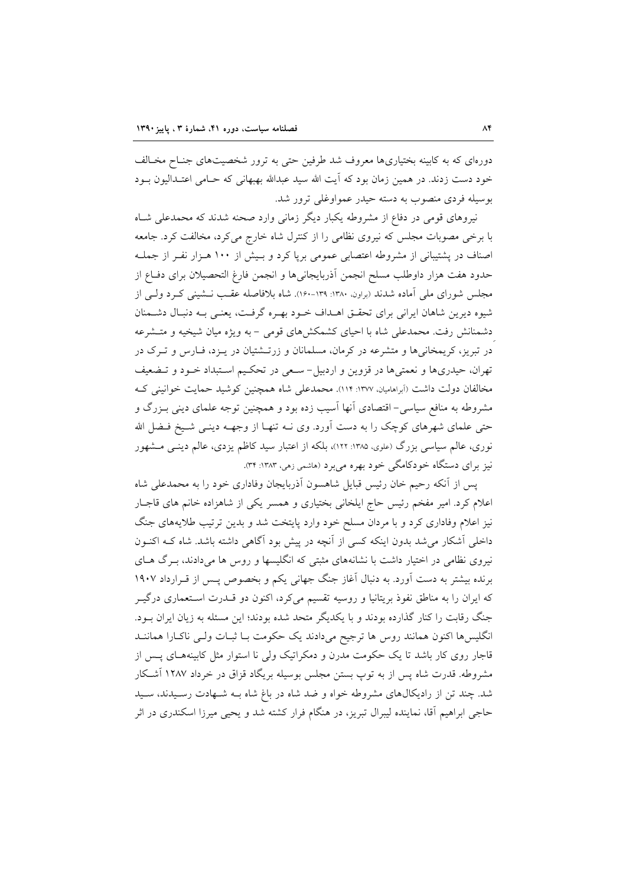دورهای که به کابینه بختیاریها معروف شد طرفین حتی به ترور شخصیتهای جنـاح مخـالف خود دست زدند. در همین زمان بود که آیت الله سید عبدالله بهبهانی که حـامی اعتـدالیون بـود بوسیله فردی منصوب به دسته حیدر عمواوغلی ترور شد.

نیروهای قومی در دفاع از مشروطه یکبار دیگر زمانی وارد صحنه شدند که محمدعلی شـاه با برخی مصوبات مجلس که نیروی نظامی را از کنترل شاه خارج می کرد، مخالفت کرد. جامعه اصناف در پشتیبانی از مشروطه اعتصابی عمومی برپا کرد و بـیش از ۱۰۰ هـزار نفـر از جملـه حدود هفت هزار داوطلب مسلح انجمن آذربايجانىها و انجمن فارغ التحصيلان براى دفـاع از مجلس شورای ملی آماده شدند (براون ۱۳۸۰: ۱۳۹-۱۶۰). شاه بلافاصله عقب نـشینی کـرد ولـی از شیوه دیرین شاهان ایرانی برای تحقـق اهـداف خـود بهـره گرفـت، یعنـی بـه دنبـال دشـمنان دشمنانش رفت. محمدعلی شاه با احیای کشمکشهای قومی – به ویژه میان شیخیه و متـشرعه در تبریز، کریمخانبی ها و متشرعه در کرمان، مسلمانان و زرتـشتیان در پـزد، فـارس و تـرک در تهران، حیدریها و نعمتیها در قزوین و اردبیل- سـعی در تحکـیم اسـتبداد خـود و تــضعیف مخالفان دولت داشت (أبراهاميان، ١٣٧٧: ١١٢. محمدعلى شاه همچنين كوشيد حمايت خوانيني ك مشروطه به منافع سیاسی– اقتصادی آنها آسیب زده بود و همچنین توجه علمای دینی بـزرگ و حتی علمای شهرهای کوچک را به دست آورد. وی نــه تنهـا از وجهــه دینــی شــیخ فــضل الله نوری، عالم سیاسی بزرگ (علوی، ۱۳۸۵: ۱۲۲)، بلکه از اعتبار سید کاظم یزدی، عالم دینـی مــشهور نیز برای دستگاه خودکامگی خود بهره میبرد (هاشمی زمی، ۱۳۸۳: ۳۴).

پس از آنکه رحیم خان رئیس قبایل شاهسون آذربایجان وفاداری خود را به محمدعلی شاه اعلام کرد. امیر مفخم رئیس حاج ایلخانی بختیاری و همسر یکی از شاهزاده خانم های قاجبار نیز اعلام وفاداری کرد و با مردان مسلح خود وارد پایتخت شد و بدین ترتیب طلایههای جنگ داخلی آشکار می شد بدون اینکه کسی از آنچه در پیش بود آگاهی داشته باشد. شاه کـه اکنــون نیروی نظامی در اختیار داشت با نشانههای مثبتی که انگلیسها و روس ها میدادند، بـرگ هـای برنده بیشتر به دست آورد. به دنبال آغاز جنگ جهانی یکم و بخصوص پس از قـرارداد ۱۹۰۷ که ایران را به مناطق نفوذ بریتانیا و روسیه تقسیم میکرد، اکنون دو قــدرت اسـتعماری درگیـر جنگ رقابت را کنار گذارده بودند و با یکدیگر متحد شده بودند؛ این مسئله به زبان ایران بـود. انگلیسها اکنون همانند روس ها ترجیح میدادند یک حکومت بـا ثبـات ولـی ناکـارا هماننــد قاجار روی کار باشد تا یک حکومت مدرن و دمکراتیک ولی نا استوار مثل کابینههـای پــس از مشروطه. قدرت شاه پس از به توپ بستن مجلس بوسیله بریگاد قزاق در خرداد ۱۲۸۷ آشکار شد. چند تن از رادیکالهای مشروطه خواه و ضد شاه در باغ شاه بـه شـهادت رسـیدند، سـید حاجی ابراهیم آقا، نماینده لیبرال تبریز، در هنگام فرار کشته شد و یحیی میرزا اسکندری در اثر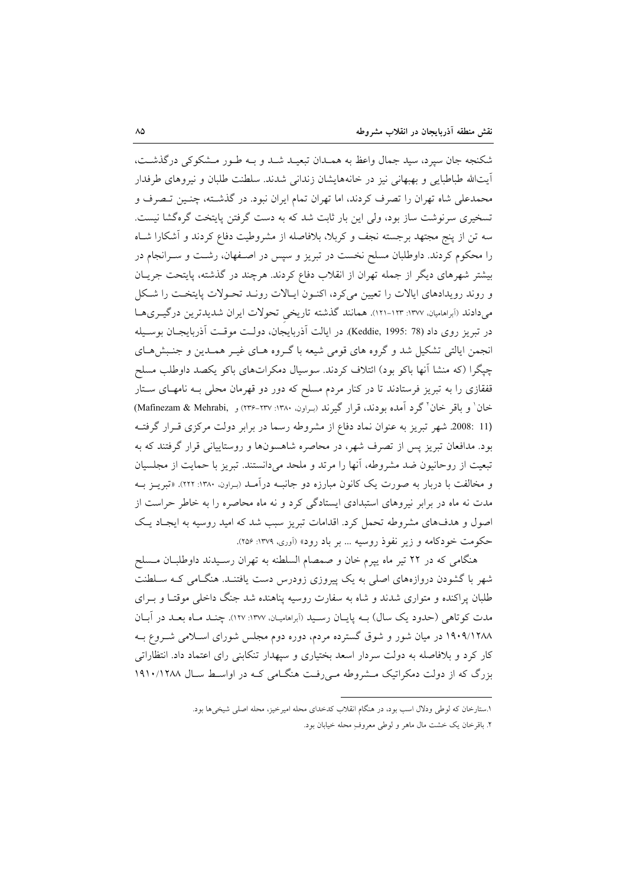شکنجه جان سپرد، سید جمال واعظ به همـدان تبعیـد شـد و بـه طـور مـشکوکی درگذشـت، آيتالله طباطبايي و بهبهاني نيز در خانههايشان زنداني شدند. سلطنت طلبان و نيروهاي طرفدار محمدعلی شاه تهران را تصرف کردند، اما تهران تمام ایران نبود. در گذشته، چنـین تـصرف و تسخیری سرنوشت ساز بود، ولی این بار ثابت شد که به دست گرفتن پایتخت گرهگشا نیست. سه تن از پنج مجتهد برجسته نجف و کربلا، بلافاصله از مشروطیت دفاع کردند و آشکارا شـاه را محکوم کردند. داوطلبان مسلح نخست در تبریز و سپس در اصـفهان، رشـت و سـرانجام در بیشتر شهرهای دیگر از جمله تهران از انقلاب دفاع کردند. هرچند در گذشته، پایتحت جریـان و روند رويدادهاي ايالات را تعيين مي كرد، اكنـون ايـالات رونـد تحـولات پايتخـت را شـكل میدادند (آبراهامیان، ۱۳۷۷: ۱۲۳-۱۲۱). همانند گذشته تاریخی تحولات ایران شدیدترین درگیـریهـا در تبريز روى داد (Keddie, 1995: 78). در ايالت آذربايجان، دولـت موقـت آذربايجـان بوسـيله انجمن ایالتی تشکیل شد و گروه های قومی شیعه با گـروه هـای غیـر همـدین و جنـبشهـای چپگرا (که منشا اَنها باکو بود) ائتلاف کردند. سوسیال دمکراتهای باکو یکصد داوطلب مسلح قفقازی را به تبریز فرستادند تا در کنار مردم مسلح که دور دو قهرمان محلی بـه نامهـای سـتار خان' و باقر خان' گرد آمده بودند، قرار گیرند (سراون. ۱۳۸۰: ۲۳۷-۲۳۶) و Mafinezam & Mehrabi) (11 :2008. شهر تبریز به عنوان نماد دفاع از مشروطه رسما در برابر دولت مرکزی قـرار گرفتـه بود. مدافعان تبریز پس از تصرف شهر، در محاصره شاهسونها و روستاییانی قرار گرفتند که به تبعیت از روحانیون ضد مشروطه، آنها را مرتد و ملحد میدانستند. تبریز با حمایت از مجلسیان و مخالفت با دربار به صورت یک کانون مبارزه دو جانبـه درآمـد (بـراون. ۱۳۸۰: ۲۲۲). «تبریــز بــه مدت نه ماه در برابر نیروهای استبدادی ایستادگی کرد و نه ماه محاصره را به خاطر حراست از اصول و هدفهای مشروطه تحمل کرد. اقدامات تبریز سبب شد که امید روسیه به ایجـاد یـک حکومت خودکامه و زیر نفوذ روسیه ... بر باد رود» (اَوری، ۱۳۷۹: ۲۵۶).

هنگامی که در ۲۲ تیر ماه پیرم خان و صمصام السلطنه به تهران رسـیدند داوطلبـان مـسلح شهر با گشودن دروازههای اصلی به یک پیروزی زودرس دست یافتنـد. هنگـامی کـه سـلطنت طلبان پراکنده و متواری شدند و شاه به سفارت روسیه پناهنده شد جنگ داخلی موقتـا و بـرای مدت کوتاهی (حدود یک سال) بـه پایـان رسـید (اَبراهامیـان، ١٣٧٧: ١٢٧). چنــد مـاه بعــد در اَبــان ۱۹۰۹/۱۲۸۸ در میان شور و شوق گسترده مردم، دوره دوم مجلس شورای اسلامی شـروع بـه کار کرد و بلافاصله به دولت سردار اسعد بختیاری و سپهدار تنکابنی رای اعتماد داد. انتظاراتی بزرگ که از دولت دمکراتیک مشروطه می رفت هنگامی کـه در اواسـط سـال ۱۹۱۰/۱۲۸۸

> ۱.ستارخان که لوطی ودلال اسب بود، در هنگام انقلاب کدخدای محله امیرخیز، محله اصلی شیخیها بود. ۲. باقرخان یک خشت مال ماهر و لوطی معروفِ محله خیابان بود.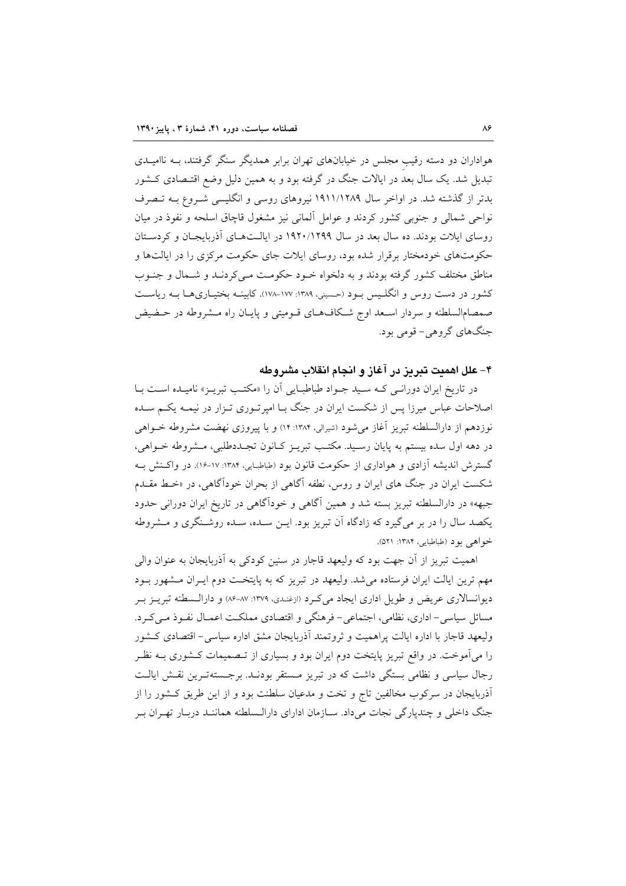هواداران دو دسته رقیب مجلس در خیابانهای تهران برابر همدیگر سنگر گرفتند، بـه ناامیــدی تبدیل شد. یک سال بعد در ایالات جنگ در گرفته بود و به همین دلیل وضع اقتـصادی کـشور بدتر از گذشته شد. در اواخر سال ۱۹۱۱/۱۲۸۹ نیروهای روسی و انگلیسی شـروع بـه تـصرف نواحي شمالي و جنوبي كشور كردند و عوامل آلماني نيز مشغول قاچاق اسلحه و نفوذ در ميان روسای ایلات بودند. ده سال بعد در سال ۱۹۲۰/۱۲۹۹ در ایالـتهـای آذربایجـان و کردسـتان حکومتهای خودمختار برقرار شده بود، روسای ایلات جای حکومت مرکزی را در ایالتها و مناطق مختلف کشور گرفته بودند و به دلخواه خـود حکومـت مـیکردنـد و شـمال و جنـوب کشور در دست روس و انگلـیس بـود (حـسینی، ۱۳۸۹: ۱۷۷–۱۷۸). کابینــه بختیــاریهــا بــه ریاســت صمصامالسلطنه و سردار اسـعد اوج شـكافهـاي قـوميتي و پايـان راه مـشروطه در حـضيض جنگهای گروهی- قومی بود.

۴– علل اهمیت تبریز در آغاز و انجام انقلاب مشروطه

در تاریخ ایران دورانبی کـه سـید جـواد طباطبـایی آن را «مکتـب تبریـز» نامیـده اسـت بـا اصلاحات عباس میرزا پس از شکست ایران در جنگ بـا امیرتـوری تـزار در نیمـه یکـم سـده نوزدهم از دارالسلطنه تبریز آغاز میشود (شیرالی، ۱۳۸۴: ۱۴) و با پیروزی نهضت مشروطه خـواهی در دهه اول سده بیستم به پایان رسـید. مکتـب تبریـز کـانون تجـددطلبی، مـشروطه خـواهی، گسترش اندیشه آزادی و هواداری از حکومت قانون بود (طباطبایی، ۱۳۸۴: ۱۷-۱۶). در واکـنش بـه شکست ایران در جنگ های ایران و روس، نطفه آگاهی از بحران خودآگاهی، در «خـط مقــدم جبهه» در دارالسلطنه تبریز بسته شد و همین آگاهی و خودآگاهی در تاریخ ایران دورانی حدود یکصد سال را در بر می گیرد که زادگاه آن تبریز بود. ایـن سـده، سـده روشـنگری و مـشروطه خواهي بود (طباطبايي، ١٣٨۴: ٥٢١).

اهميت تبريز از آن جهت بود كه وليعهد قاجار در سنين كودكي به آذربايجان به عنوان والي مهم ترین ایالت ایران فرستاده می شد. ولیعهد در تبریز که به پایتخت دوم ایـران مـشهور بـود دیوانسالاری عریض و طویل اداری ایجاد می کـرد (ازغنـدی، ۱۳۷۹: ۸۷–۸۶) و دارالـسطنه تبریـز بـر مسائل سیاسی- اداری، نظامی، اجتماعی- فرهنگی و اقتصادی مملکت اعمـال نفـوذ مـیکـرد. ولیعهد قاجار با اداره ایالت پراهمیت و ثروتمند آذربایجان مشق اداره سیاسی- اقتصادی کشور را میآموخت. در واقع تبریز پایتخت دوم ایران بود و بسیاری از تـصمیمات کـشوری بــه نظـر رجال سیاسی و نظامی بستگی داشت که در تبریز مستقر بودنـد. برجـستهتـرین نقـش ایالـت آذربایجان در سرکوب مخالفین تاج و تخت و مدعیان سلطنت بود و از این طریق کـشور را از جنگ داخلی و چندپارگی نجات میداد. سـازمان ادارای دارالـسلطنه هماننـد دربـار تهـران بـر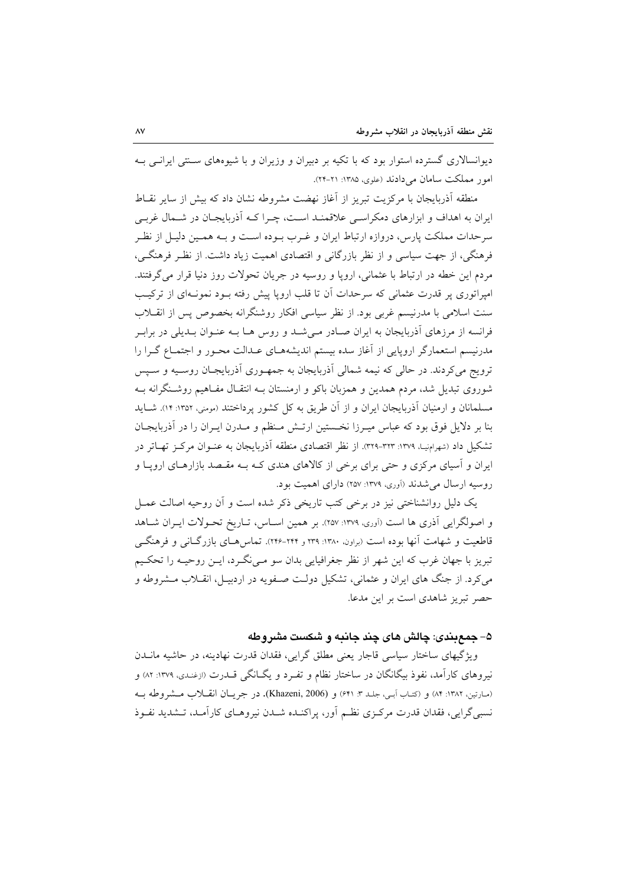دیوانسالاری گسترده استوار بود که با تکیه بر دبیران و وزیران و با شیوههای سـنتی ایرانـی بـه امور مملکت سامان مے دادند (علوی، ۱۳۸۵: ۲۱-۲۴).

منطقه آذربایجان با مرکزیت تبریز از آغاز نهضت مشروطه نشان داد که بیش از سایر نقـاط ایران به اهداف و ابزارهای دمکراسبی علاقمنـد اسـت، چـرا کـه آذربایجـان در شـمال غربـی سرحدات مملکت پارس، دروازه ارتباط ایران و غـرب بـوده اسـت و بـه همـین دلیـل از نظـر فرهنگی، از جهت سیاسی و از نظر بازرگانی و اقتصادی اهمیت زیاد داشت. از نظـر فرهنگــی، مردم این خطه در ارتباط با عثمانی، اروپا و روسیه در جریان تحولات روز دنیا قرار می گرفتند. امیراتوری پر قدرت عثمانی که سرحدات آن تا قلب اروپا پیش رفته بـود نمونـهای از ترکیـب سنت اسلامی با مدرنیسم غربی بود. از نظر سیاسی افکار روشنگرانه بخصوص پس از انقــلاب فرانسه از مرزهای آذربایجان به ایران صـادر مـیشـد و روس هـا بـه عنـوان بـدیلی در برابـر مدرنیسم استعمارگر اروپایی از آغاز سده بیستم اندیشههـای عـدالت محـور و اجتمـاع گـرا را ترویج میکردند. در حالی که نیمه شمالی آذربایجان به جمهـوری آذربایجـان روسـیه و سـپس شوروی تبدیل شد، مردم همدین و همزبان باکو و ارمنستان بـه انتقـال مفـاهیم روشـنگرانه بـه مسلمانان و ارمنیان آذربایجان ایران و از آن طریق به کل کشور پرداختند (مومنی، ۱۳۵۲: ۱۴). شـاید بنا بر دلایل فوق بود که عباس میـرزا نخـستین ارتـش مـنظم و مـدرن ایـران را در آذربایجـان تشکیل داد (شهرامنیا، ۱۳۷۹: ۳۲۳-۳۲۹). از نظر اقتصادی منطقه آذربایجان به عنــوان مرکــز تهـاتر در ایران و آسیای مرکزی و حتی برای برخی از کالاهای هندی کـه بـه مقـصد بازارهـای اروپـا و روسیه ارسال می شدند (آوری، ۱۳۷۹: ۲۵۷) دارای اهمیت بود.

یک دلیل روانشناختی نیز در برخی کتب تاریخی ذکر شده است و آن روحیه اصالت عمـل و اصولگرایی آذری ها است (آوری، ۱۳۷۹: ۲۵۷). بر همین اسـاس، تـاریخ تحـولات ایــران شــاهد قاطعیت و شهامت آنها بوده است (براون. ۱۳۸۰: ۲۳۹ و ۲۴۴-۲۴۶). تماس هـای بازرگـانی و فرهنگـی تبریز با جهان غرب که این شهر از نظر جغرافیایی بدان سو مـیiگـرد، ایـن روحیـه را تحکـیم می کرد. از جنگ های ایران و عثمانی، تشکیل دولت صـفویه در اردبیــل، انقــلاب مــشروطه و حصر تبریز شاهدی است بر این مدعا.

۵– جمع بندی: چالش های چند جانبه و شکست مشروطه

ویژگیهای ساختار سیاسی قاجار یعنی مطلق گرایی، فقدان قدرت نهادینه، در حاشیه مانــدن نیروهای کارآمد، نفوذ بیگانگان در ساختار نظام و تفـرد و یگــانگی قــدرت (ازغــدی، ۱۳۷۹: ۸۲) و (مارتين، ١٣٨٢: ٨۴) و (كتاب أبي، جلد ٣: ٤٢١) و (Khazeni, 2006). در جريان انقبلات مشروطه بـه نسبی گرایی، فقدان قدرت مرکزی نظـم آور، پراکنـده شـدن نیروهـای کارآمـد، تـشدید نفـوذ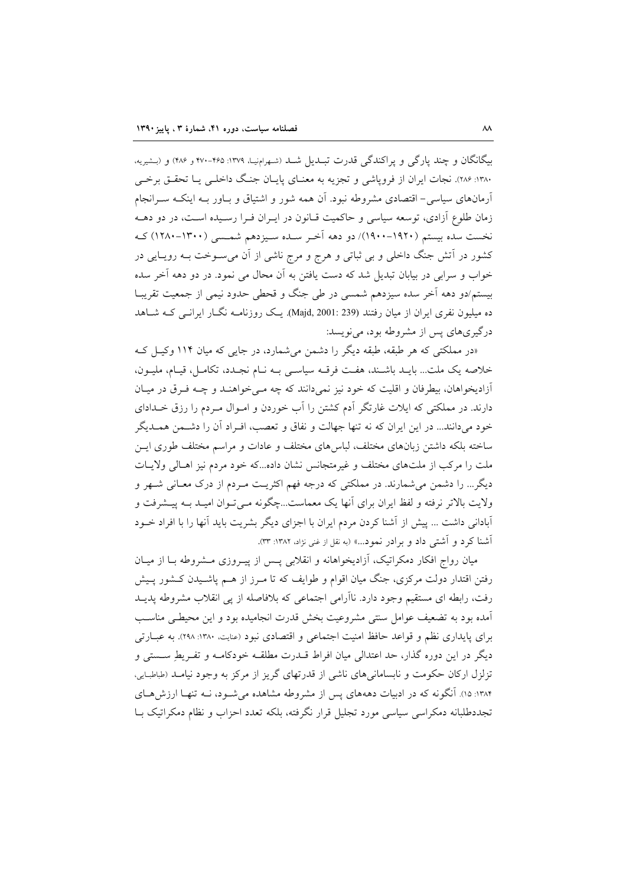بیگانگان و چند پارگی و پراکندگی قدرت تبـدیل شـد (شـهرامنیـا، ۱۳۷۹: ۴۶۵-۴۷۰ و ۴۸۶) و (بـشیریه، ۱۳۸۰: ۲۸۶). نجات ایران از فروپاشی و تجزیه به معنــای پایــان جنــگ داخلــی یــا تحقــق برخــی آرمانهای سیاسی– اقتصادی مشروطه نبود. آن همه شور و اشتیاق و بـاور بـه اینکـه سـرانجام زمان طلوع آزادی، توسعه سیاسی و حاکمیت قـانون در ایـران فـرا رسـیده اسـت، در دو دهــه نخست سده بیستم (۱۹۲۰–۱۹۰۰)/ دو دهه آخر سـده سـیزدهم شمـسی (۱۳۰۰–۱۲۸۰) کـه کشور در اَتش جنگ داخلی و بی ثباتی و هرج و مرج ناشی از اَن میسـوخت بــه رویــایی در خواب و سرابی در بیابان تبدیل شد که دست یافتن به آن محال می نمود. در دو دهه آخر سده بیستم/دو دهه آخر سده سیزدهم شمسی در طی جنگ و قحطی حدود نیمی از جمعیت تقریبـا ده میلیون نفری ایران از میان رفتند (Majd, 2001: 239). یک روزنامـه نگـار ایرانـبی کـه شـاهد درگیریهای پس از مشروطه بود، می نویسد:

«در مملکتی که هر طبقه، طبقه دیگر را دشمن می شمارد، در جایی که میان ۱۱۴ وکیـل کـه خلاصه يک ملت... بايـد باشـند، هفـت فرقـه سياسـي بـه نـام نجـدد، تکامـل، قيـام، مليـون، آزادیخواهان، بیطرفان و اقلیت که خود نیز نمیدانند که چه مـیخواهنـد و چـه فـرق در میـان دارند. در مملکتی که ایلات غارتگر آدم کشتن را آب خوردن و امـوال مـردم را رزق خــدادای خود میدانند... در این ایران که نه تنها جهالت و نفاق و تعصب، افـراد آن را دشـمن همـدیگر ساخته بلکه داشتن زبانهای مختلف، لباسهای مختلف و عادات و مراسم مختلف طوری ایــن ملت را مرکب از ملتهای مختلف و غیرمتجانس نشان داده...که خود مردم نیز اهـالی ولایـات دیگر… را دشمن میشمارند. در مملکتی که درجه فهم اکثریت مـردم از درک معـانی شـهر و ولايت بالاتر نرفته و لفظ ايران براي آنها يک معماست...چگونه مـيتوان اميـد بـه پيــشرفت و أبادانی داشت ... پیش از آشنا کردن مردم ایران با اجزای دیگر بشریت باید آنها را با افراد خــود آشنا کرد و آشتی داد و برادر نمود...» (به نقل از غنی نژاد، ۱۳۸۲: ۳۳).

میان رواج افکار دمکراتیک، آزادیخواهانه و انقلابی پس از پیـروزی مـشروطه بـا از میـان رفتن اقتدار دولت مرکزی، جنگ میان اقوام و طوایف که تا مـرز از هــم پاشـیدن کــشور پــیش رفت، رابطه ای مستقیم وجود دارد. ناآرامی اجتماعی که بلافاصله از پی انقلاب مشروطه پدیـد آمده بود به تضعیف عوامل سنتی مشروعیت بخش قدرت انجامیده بود و این محیطبی مناسب برای پایداری نظم و قواعد حافظ امنیت اجتماعی و اقتصادی نبود (عنایت. ۱۳۸۰: ۲۹۸). به عبـارتی ديگر در اين دوره گذار، حد اعتدالي ميان افراط قــدرت مطلقــه خودكامــه و تفــريطِ ســستي و تزلزل ارکان حکومت و نابسامانی های ناشی از قدرتهای گریز از مرکز به وجود نیامـد (طباطبایی، ۱۳۸۴: ۱۵). آنگونه که در ادبیات دهههای پس از مشروطه مشاهده می شـود، نــه تنهـا ارزش هــای تجددطلبانه دمکراسی سیاسی مورد تجلیل قرار نگرفته، بلکه تعدد احزاب و نظام دمکراتیک بـا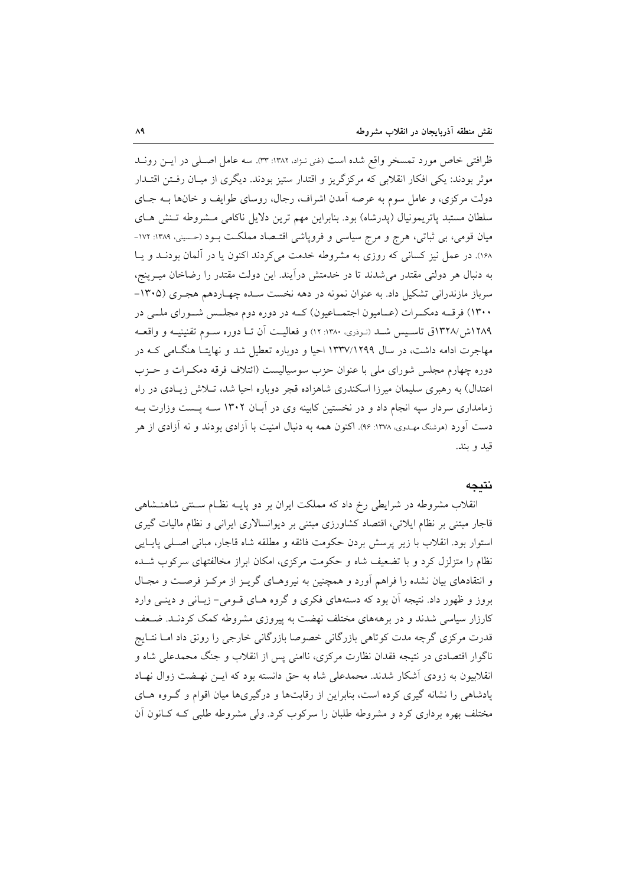ظرافتی خاص مورد تمسخر واقع شده است (غنی نـژاد، ۱۳۸۲: ۳۳). سه عامل اصـلی در ایـن رونـد موثر بودند: یکی افکار انقلابی که مرکزگریز و اقتدار ستیز بودند. دیگری از میـان رفـتن اقتـدار دولت مرکزی، و عامل سوم به عرصه آمدن اشراف، رجال، روسای طوایف و خانها بـه جـای سلطان مستبد پاتريمونيال (پدرشاه) بود. بنابراين مهم ترين دلايل ناكامي مشروطه تنش هاى میان قومی، بی ثباتی، هرج و مرج سیاسی و فروپاشی اقتـصاد مملکـت بـود (حسینی، ۱۳۸۹: ۱۷۲-۱۶۸). در عمل نیز کسانی که روزی به مشروطه خدمت میکردند اکنون یا در آلمان بودنـد و یـا به دنبال هر دولتی مقتدر می شدند تا در خدمتش درآیند. این دولت مقتدر را رضاخان میـرینج، سرباز مازندرانی تشکیل داد. به عنوان نمونه در دهه نخست سـده چهـاردهم هجـری (۱۳۰۵– ۱۳۰۰) فرقــه دمکــرات (عــامیون اجتمــاعیون) کــه در دوره دوم مجلــس شــورای ملــی در ۱۲۸۹ش/۱۳۲۸ق تاسـیس شـد (نـوذری، ۱۳۸۰: ۱۲) و فعالیـت آن تـا دوره سـوم تقنینیـه و واقعـه مهاجرت ادامه داشت، در سال ۱۳۳۷/۱۲۹۹ احیا و دوباره تعطیل شد و نهایتـا هنگـامی کـه در دوره چهارم مجلس شورای ملی با عنوان حزب سوسیالیست (ائتلاف فرقه دمکـرات و حـزب اعتدال) به رهبری سلیمان میرزا اسکندری شاهزاده قجر دوباره احیا شد، تـلاش زیـادی در راه زمامداری سردار سپه انجام داد و در نخستین کابینه وی در آبان ۱۳۰۲ سـه پـست وزارت بـه دست آورد (هوشنگ مهـدوی، ۱۳۷۸: ۹۶). اکنون هـمه به دنبال امنیت با آزادی بودند و نه آزادی از هر قيد و بند.

### نتيجه

انقلاب مشروطه در شرایطی رخ داد که مملکت ایران بر دو پایـه نظـام سـنتی شاهنـشاهی قاجار مبتنی بر نظام ایلاتی، اقتصاد کشاورزی مبتنی بر دیوانسالاری ایرانی و نظام مالیات گیری استوار بود. انقلاب با زير پرسش بردن حكومت فائقه و مطلقه شاه قاجار، مبانی اصلی پایایی نظام را متزلزل کرد و با تضعیف شاه و حکومت مرکزی، امکان ابراز مخالفتهای سرکوب شـده و انتقادهای بیان نشده را فراهم آورد و همچنین به نیروهـای گریـز از مرکـز فرصـت و مجـال بروز و ظهور داد. نتیجه آن بود که دستههای فکری و گروه هـای قـومی- زبـانی و دینــی وارد کارزار سیاسی شدند و در برهههای مختلف نهضت به پیروزی مشروطه کمک کردنـد. ضـعف قدرت مرکزی گرچه مدت کوتاهی بازرگانی خصوصا بازرگانی خارجی را رونق داد امـا نتـايج ناگوار اقتصادی در نتیجه فقدان نظارت مرکزی، ناامنی پس از انقلاب و جنگ محمدعلی شاه و انقلابیون به زودی آشکار شدند. محمدعلی شاه به حق دانسته بود که ایــن نهـضت زوال نهـاد پادشاهی را نشانه گیری کرده است، بنابراین از رقابتها و درگیریها میان اقوام و گـروه هـای مختلف بهره برداری کرد و مشروطه طلبان را سرکوب کرد. ولی مشروطه طلبی کـه کـانون اَن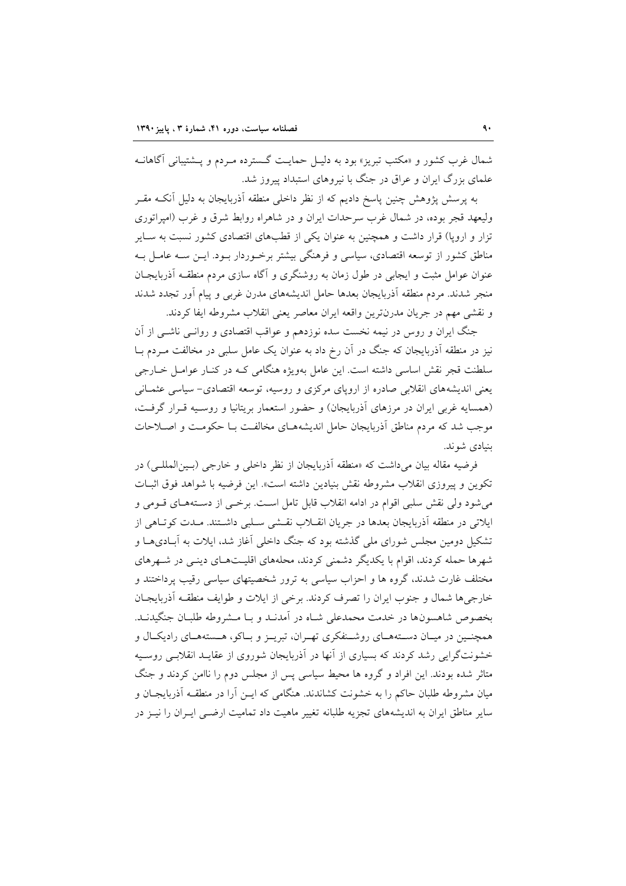شمال غرب کشور و «مکتب تبریز» بود به دلیـل حمایـت گـسترده مـردم و پــشتیبانی آگاهانــه علمای بزرگ ایران و عراق در جنگ با نیروهای استبداد پیروز شد.

به پرسش پژوهش چنین پاسخ دادیم که از نظر داخلی منطقه آذربایجان به دلیل آنکـه مقــر ولیعهد قجر بوده، در شمال غرب سرحدات ایران و در شاهراه روابط شرق و غرب (امیراتوری تزار و اروپا) قرار داشت و همچنین به عنوان یکی از قطبهای اقتصادی کشور نسبت به سـایر مناطق کشور از توسعه اقتصادی، سیاسی و فرهنگی بیشتر برخـوردار بـود. ایــن ســه عامــل بــه عنوان عوامل مثبت و ایجابی در طول زمان به روشنگری و آگاه سازی مردم منطقـه آذربایجـان منجر شدند. مردم منطقه آذربایجان بعدها حامل اندیشههای مدرن غربی و پیام آور تجدد شدند و نقشی مهم در جریان مدرنترین واقعه ایران معاصر یعنی انقلاب مشروطه ایفا کردند.

جنگ ایران و روس در نیمه نخست سده نوزدهم و عواقب اقتصادی و روانـی ناشـی از آن نیز در منطقه آذربایجان که جنگ در آن رخ داد به عنوان یک عامل سلبی در مخالفت مـردم بــا سلطنت قجر نقش اساسی داشته است. این عامل بهویژه هنگامی کـه در کنـار عوامـل خـارجی یعنی اندیشههای انقلابی صادره از اروپای مرکزی و روسیه، توسعه اقتصادی- سیاسی عثمـانی (همسایه غربی ایران در مرزهای آذربایجان) و حضور استعمار بریتانیا و روسـیه قـرار گرفـت، موجب شد که مردم مناطق آذربایجان حامل اندیشههـای مخالفـت بـا حکومـت و اصـلاحات ىنيادى شوند.

فرضيه مقاله بيان مي داشت كه «منطقه آذربايجان از نظر داخلي و خارجي (بـينالمللـي) در تكوين و پيروزى انقلاب مشروطه نقش بنيادين داشته است». اين فرضيه با شواهد فوق اثبـات می شود ولی نقش سلبی اقوام در ادامه انقلاب قابل تامل است. برخـی از دسـتههـای قــومی و ایلاتی در منطقه آذربایجان بعدها در جریان انقــلاب نقــشی ســلبی داشــتند. مــدت کوتــاهی از تشکیل دومین مجلس شورای ملی گذشته بود که جنگ داخلی آغاز شد، ایلات به آبـادیهـا و شهرها حمله کردند، اقوام با یکدیگر دشمنی کردند، محلههای اقلیتهای دینی در شهرهای مختلف غارت شدند، گروه ها و احزاب سیاسی به ترور شخصیتهای سیاسی رقیب پرداختند و خارجي ها شمال و جنوب ايران را تصرف كردند. برخي از ايلات و طوايف منطقــه آذربايجــان بخصوص شاهسونها در خدمت محمدعلی شباه در آمدنید و بیا میشروطه طلبیان جنگیدنید. همچنـین در میـان دسـتههـای روشـنفکری تهـران، تبریـز و بـاکو، هـستههـای رادیکـال و خشونتگرایی رشد کردند که بسیاری از آنها در آذربایجان شوروی از عقایـد انقلابـی روسـیه متاثر شده بودند. این افراد و گروه ها محیط سیاسی پس از مجلس دوم را ناامن کردند و جنگ میان مشروطه طلبان حاکم را به خشونت کشاندند. هنگامی که ایــن آرا در منطقــه آذربایجــان و سایر مناطق ایران به اندیشههای تجزیه طلبانه تغییر ماهیت داد تمامیت ارضبی ایـران را نیــز در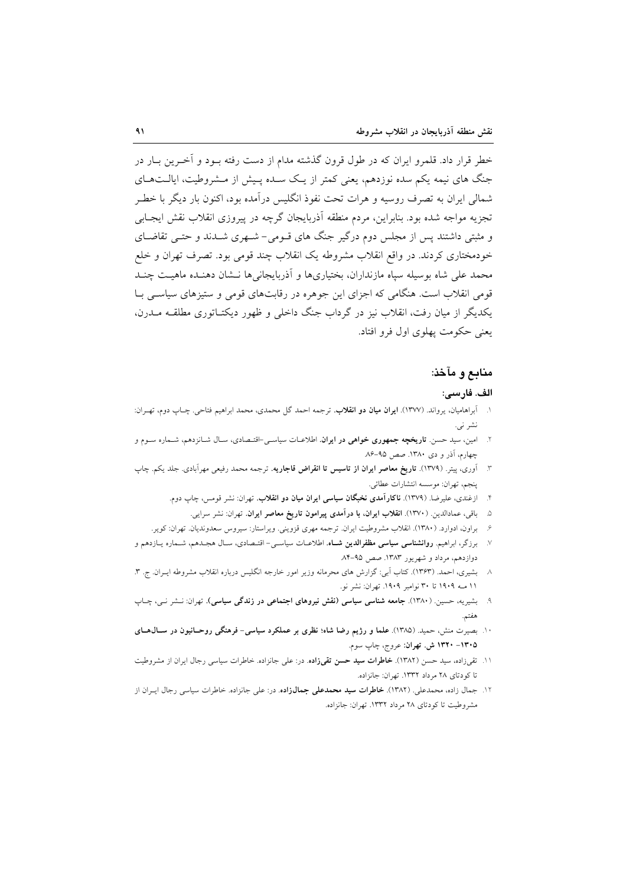خطر قرار داد. قلمرو ایران که در طول قرون گذشته مدام از دست رفته بــود و آخــرین بــار در جنگ های نیمه یکم سده نوزدهم، یعنی کمتر از یـک سـده پـیش از مـشروطیت، ایالـتهـای شمالی ایران به تصرف روسیه و هرات تحت نفوذ انگلیس درآمده بود، اکنون بار دیگر با خطـر تجزیه مواجه شده بود. بنابراین، مردم منطقه آذربایجان گرچه در پیروزی انقلاب نقش ایجــابی و مثبتی داشتند پس از مجلس دوم درگیر جنگ های قـومی- شـهری شـدند و حتـبی تقاضـای خودمختاری کردند. در واقع انقلاب مشروطه یک انقلاب چند قومی بود. تصرف تهران و خلع محمد على شاه بوسيله سياه مازنداران، بختياريها و آذربايجانيها نــشان دهنــده ماهيـت چنــد قومی انقلاب است. هنگامی که اجزای این جوهره در رقابتهای قومی و ستیزهای سیاستی بـا یکدیگر از میان رفت، انقلاب نیز در گرداب جنگ داخلی و ظهور دیکتـاتوری مطلقــه مــدرن، يعني حكومت يهلوي اول فرو افتاد.

## منابع و مآخذ:

### الف. فارسى:

- ۱. آبراهامیان، یرواند. (۱۳۷۷). **ایران میان دو انقلاب**. ترجمه احمد گل محمدی، محمد ابراهیم فتاحی. چـاب دوم، تهـران: نشر نبي.
- ۲. امین، سید حسن. **تاریخچه جمهوری خواهی در ایران**. اطلاعـات سیاســی-اقتـصادی، سـال شــانزدهم، شــماره ســوم و چهارم، آذر و دی ۱۳۸۰. صص ۹۵-۸۶
- ۳. اَوری، پیتر. (۱۳۷۹). **تاریخ معاصر ایران از تاسیس تا انقراض قاجاریه**. ترجمه محمد رفیعی مهراًبادی. جلد یکم. چاپ ينجم، تهران: موسسه انتشارات عطائي.
	- ۴. ازغندی، علیرضا. (۱۳۷۹). **ناکارآمدی نخبگان سیاسی ایران میان دو انقلاب**. تهران: نشر قومس، چاپ دوم.
	- ۵. باقی، عمادالدین. (۱۳۷۰). ا**نقلاب ایران، با درآمدی پیرامون تاریخ معاصر ایران.** تهران: نشر سرایی.
	- ۶. براون، ادوارد. (۱۳۸۰). انقلاب مشروطیت ایران. ترجمه مهری قزوینی. ویراستار: سیروس سعدوندیان. تهران: کویر.
- ۷. برزگر، ابراهیم. **روانشناسی سیاسی مظفرالدین شــاه**. اطلاعــات سیاســی- اقتــصادی، ســال هجــدهم، شــماره يــازدهم و دوازدهم، مرداد و شهريور ١٣٨٣. صص ٩٥-٨۴
- ٨- بشيري، احمد. (١٣۶٣). كتاب آبي: گزارش هاي محرمانه وزير امور خارجه انگليس درباره انقلاب مشروطه ايـران. ج. ٣. ١١ مـه ١٩٠٩ تا ٣٠ نوامبر ١٩٠٩. تهران: نشر نو.
- بشیریه، حسین. (۱۳۸۰). **جامعه شناسی سیاسی (نقش نیروهای اجتماعی در زندگی سیاسی).** تهران: نــشر نــی، چــاپ هفتم.
- ۱۰. بصیرت منش، حمید. (۱۳۸۵). علما و رژیم رضا شاه؛ نظری بر عملکرد سیاسی- فرهنگی روحـانیون در ســال۵حـای ۱۳۰۵– ۱۳۲۰ ش. تهران: عروج، چاپ سوم.
- ۱۱. تقیزاده، سید حسن (۱۳۸۲). **خاطرات سید حسن تقیزاده**. در: علی جانزاده. خاطرات سیاسی رجال ایران از مشروطیت تا کو دتای ۲۸ م داد ۱۳۳۲. تهران: جانزاده.
- ۱۲. جمال زاده، محمدعلی. (۱۳۸۲). **خاطرات سید محمدعلی جمالزاده**. در: علی جانزاده. خاطرات سیاسی رجال ایــران از مشروطیت تا کودتای ۲۸ مرداد ۱۳۳۲. تهران: جانزاده.